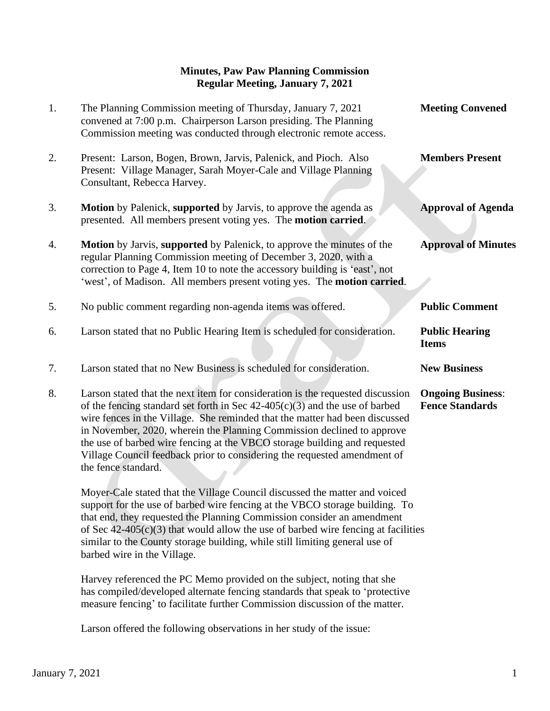## **Minutes, Paw Paw Planning Commission Regular Meeting, January 7, 2021**

| 1. | The Planning Commission meeting of Thursday, January 7, 2021<br>convened at 7:00 p.m. Chairperson Larson presiding. The Planning<br>Commission meeting was conducted through electronic remote access.                                                                                                     | <b>Meeting Convened</b>               |
|----|------------------------------------------------------------------------------------------------------------------------------------------------------------------------------------------------------------------------------------------------------------------------------------------------------------|---------------------------------------|
| 2. | Present: Larson, Bogen, Brown, Jarvis, Palenick, and Pioch. Also<br>Present: Village Manager, Sarah Moyer-Cale and Village Planning<br>Consultant, Rebecca Harvey.                                                                                                                                         | <b>Members Present</b>                |
| 3. | <b>Motion</b> by Palenick, supported by Jarvis, to approve the agenda as<br>presented. All members present voting yes. The motion carried.                                                                                                                                                                 | <b>Approval of Agenda</b>             |
| 4. | <b>Motion</b> by Jarvis, supported by Palenick, to approve the minutes of the<br>regular Planning Commission meeting of December 3, 2020, with a<br>correction to Page 4, Item 10 to note the accessory building is 'east', not<br>'west', of Madison. All members present voting yes. The motion carried. | <b>Approval of Minutes</b>            |
|    |                                                                                                                                                                                                                                                                                                            |                                       |
| 5. | No public comment regarding non-agenda items was offered.                                                                                                                                                                                                                                                  | <b>Public Comment</b>                 |
| 6. | Larson stated that no Public Hearing Item is scheduled for consideration.                                                                                                                                                                                                                                  | <b>Public Hearing</b><br><b>Items</b> |
| 7. | Larson stated that no New Business is scheduled for consideration.                                                                                                                                                                                                                                         | <b>New Business</b>                   |

 Moyer-Cale stated that the Village Council discussed the matter and voiced support for the use of barbed wire fencing at the VBCO storage building. To that end, they requested the Planning Commission consider an amendment of Sec  $42-405(c)(3)$  that would allow the use of barbed wire fencing at facilities similar to the County storage building, while still limiting general use of barbed wire in the Village.

 Harvey referenced the PC Memo provided on the subject, noting that she has compiled/developed alternate fencing standards that speak to 'protective measure fencing' to facilitate further Commission discussion of the matter.

Larson offered the following observations in her study of the issue: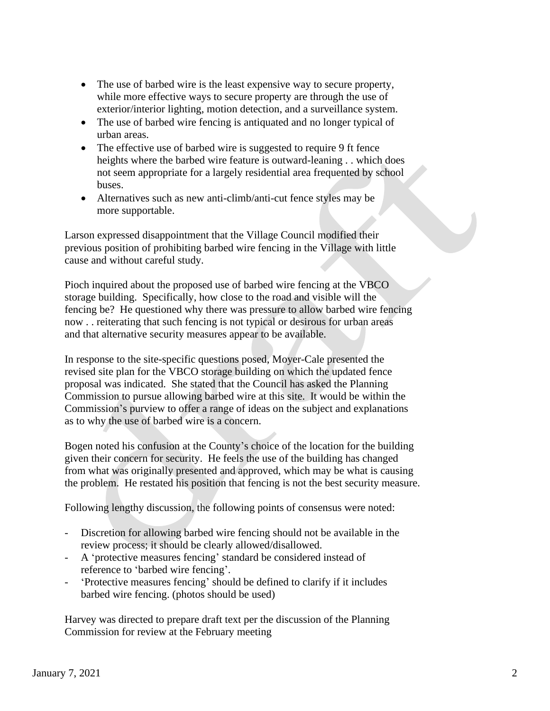- The use of barbed wire is the least expensive way to secure property, while more effective ways to secure property are through the use of exterior/interior lighting, motion detection, and a surveillance system.
- The use of barbed wire fencing is antiquated and no longer typical of urban areas.
- The effective use of barbed wire is suggested to require 9 ft fence heights where the barbed wire feature is outward-leaning . . which does not seem appropriate for a largely residential area frequented by school buses.
- Alternatives such as new anti-climb/anti-cut fence styles may be more supportable.

Larson expressed disappointment that the Village Council modified their previous position of prohibiting barbed wire fencing in the Village with little cause and without careful study.

Pioch inquired about the proposed use of barbed wire fencing at the VBCO storage building. Specifically, how close to the road and visible will the fencing be? He questioned why there was pressure to allow barbed wire fencing now . . reiterating that such fencing is not typical or desirous for urban areas and that alternative security measures appear to be available.

In response to the site-specific questions posed, Moyer-Cale presented the revised site plan for the VBCO storage building on which the updated fence proposal was indicated. She stated that the Council has asked the Planning Commission to pursue allowing barbed wire at this site. It would be within the Commission's purview to offer a range of ideas on the subject and explanations as to why the use of barbed wire is a concern.

Bogen noted his confusion at the County's choice of the location for the building given their concern for security. He feels the use of the building has changed from what was originally presented and approved, which may be what is causing the problem. He restated his position that fencing is not the best security measure.

Following lengthy discussion, the following points of consensus were noted:

- Discretion for allowing barbed wire fencing should not be available in the review process; it should be clearly allowed/disallowed.
- A 'protective measures fencing' standard be considered instead of reference to 'barbed wire fencing'.
- 'Protective measures fencing' should be defined to clarify if it includes barbed wire fencing. (photos should be used)

Harvey was directed to prepare draft text per the discussion of the Planning Commission for review at the February meeting